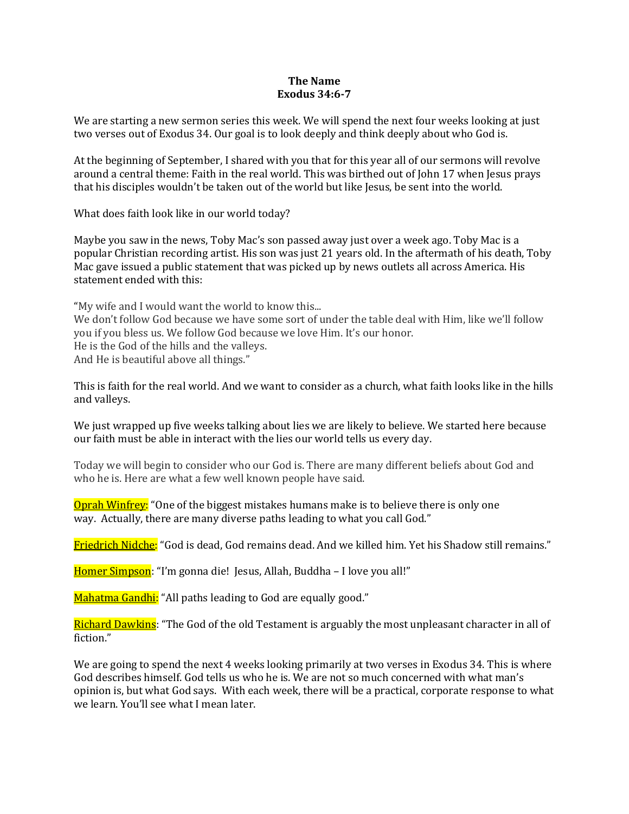### **The Name Exodus 34:6-7**

We are starting a new sermon series this week. We will spend the next four weeks looking at just two verses out of Exodus 34. Our goal is to look deeply and think deeply about who God is.

At the beginning of September, I shared with you that for this year all of our sermons will revolve around a central theme: Faith in the real world. This was birthed out of John 17 when Jesus prays that his disciples wouldn't be taken out of the world but like Jesus, be sent into the world.

What does faith look like in our world today?

Maybe you saw in the news, Toby Mac's son passed away just over a week ago. Toby Mac is a popular Christian recording artist. His son was just 21 years old. In the aftermath of his death, Toby Mac gave issued a public statement that was picked up by news outlets all across America. His statement ended with this:

"My wife and I would want the world to know this... We don't follow God because we have some sort of under the table deal with Him, like we'll follow you if you bless us. We follow God because we love Him. It's our honor. He is the God of the hills and the valleys. And He is beautiful above all things."

This is faith for the real world. And we want to consider as a church, what faith looks like in the hills and valleys.

We just wrapped up five weeks talking about lies we are likely to believe. We started here because our faith must be able in interact with the lies our world tells us every day.

Today we will begin to consider who our God is. There are many different beliefs about God and who he is. Here are what a few well known people have said.

Oprah Winfrey: "One of the biggest mistakes humans make is to believe there is only one way. Actually, there are many diverse paths leading to what you call God."

Friedrich Nidche: "God is dead, God remains dead. And we killed him. Yet his Shadow still remains."

Homer Simpson: "I'm gonna die! Jesus, Allah, Buddha - I love you all!"

Mahatma Gandhi: "All paths leading to God are equally good."

Richard Dawkins: "The God of the old Testament is arguably the most unpleasant character in all of fiction."

We are going to spend the next 4 weeks looking primarily at two verses in Exodus 34. This is where God describes himself. God tells us who he is. We are not so much concerned with what man's opinion is, but what God says. With each week, there will be a practical, corporate response to what we learn. You'll see what I mean later.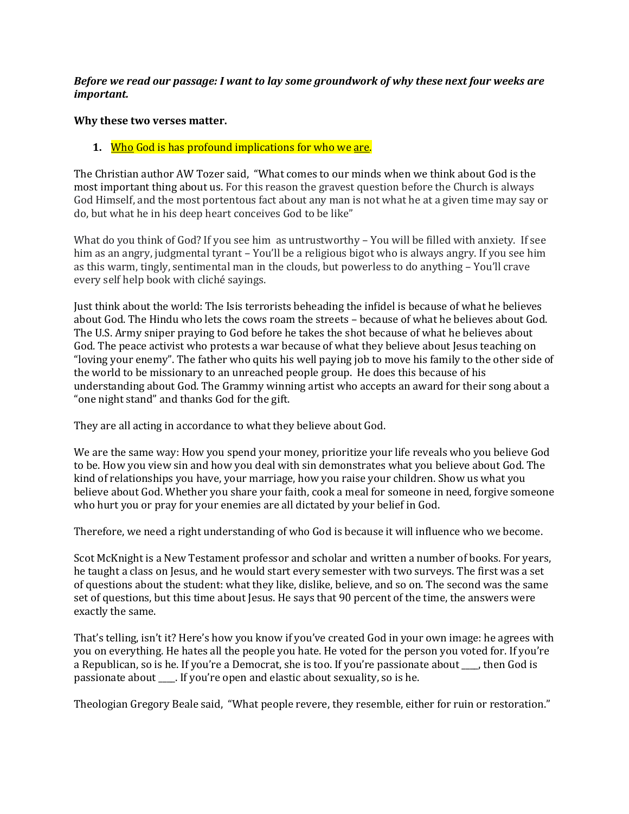## *Before we read our passage: I want to lay some groundwork of why these next four weeks are important.*

### **Why these two verses matter.**

# **1.** Who God is has profound implications for who we are.

The Christian author AW Tozer said, "What comes to our minds when we think about God is the most important thing about us. For this reason the gravest question before the Church is always God Himself, and the most portentous fact about any man is not what he at a given time may say or do, but what he in his deep heart conceives God to be like"

What do you think of God? If you see him as untrustworthy – You will be filled with anxiety. If see him as an angry, judgmental tyrant – You'll be a religious bigot who is always angry. If you see him as this warm, tingly, sentimental man in the clouds, but powerless to do anything – You'll crave every self help book with cliché sayings.

Just think about the world: The Isis terrorists beheading the infidel is because of what he believes about God. The Hindu who lets the cows roam the streets – because of what he believes about God. The U.S. Army sniper praying to God before he takes the shot because of what he believes about God. The peace activist who protests a war because of what they believe about Jesus teaching on "loving your enemy". The father who quits his well paying job to move his family to the other side of the world to be missionary to an unreached people group. He does this because of his understanding about God. The Grammy winning artist who accepts an award for their song about a "one night stand" and thanks God for the gift.

They are all acting in accordance to what they believe about God.

We are the same way: How you spend your money, prioritize your life reveals who you believe God to be. How you view sin and how you deal with sin demonstrates what you believe about God. The kind of relationships you have, your marriage, how you raise your children. Show us what you believe about God. Whether you share your faith, cook a meal for someone in need, forgive someone who hurt you or pray for your enemies are all dictated by your belief in God.

Therefore, we need a right understanding of who God is because it will influence who we become.

Scot McKnight is a New Testament professor and scholar and written a number of books. For years, he taught a class on Jesus, and he would start every semester with two surveys. The first was a set of questions about the student: what they like, dislike, believe, and so on. The second was the same set of questions, but this time about Jesus. He says that 90 percent of the time, the answers were exactly the same.

That's telling, isn't it? Here's how you know if you've created God in your own image: he agrees with you on everything. He hates all the people you hate. He voted for the person you voted for. If you're a Republican, so is he. If you're a Democrat, she is too. If you're passionate about \_\_\_\_, then God is passionate about \_\_\_\_. If you're open and elastic about sexuality, so is he.

Theologian Gregory Beale said, "What people revere, they resemble, either for ruin or restoration."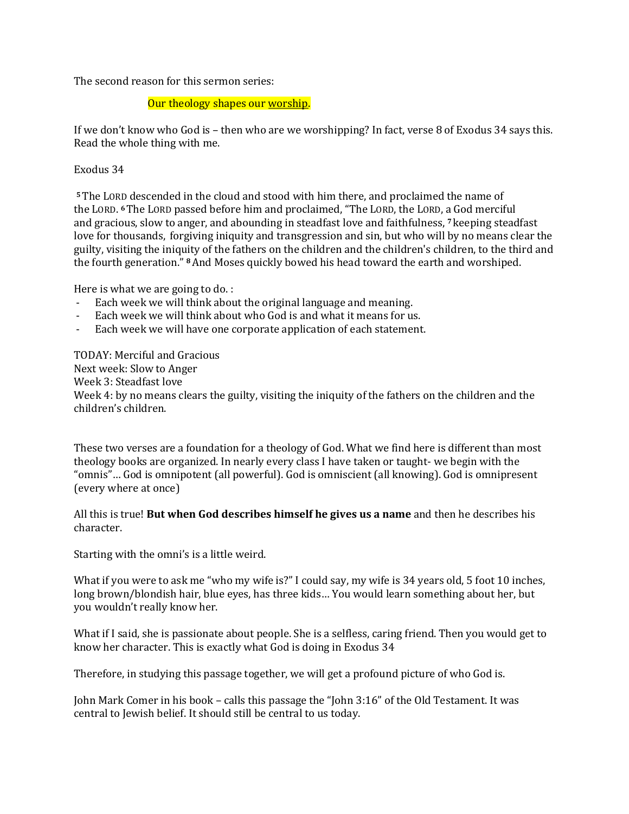The second reason for this sermon series:

Our theology shapes our worship.

If we don't know who God is – then who are we worshipping? In fact, verse 8 of Exodus 34 says this. Read the whole thing with me.

## Exodus 34

**<sup>5</sup>**The LORD descended in the cloud and stood with him there, and proclaimed the name of the LORD. **<sup>6</sup>**The LORD passed before him and proclaimed, "The LORD, the LORD, a God merciful and gracious, slow to anger, and abounding in steadfast love and faithfulness, **<sup>7</sup>** keeping steadfast love for thousands, forgiving iniquity and transgression and sin, but who will by no means clear the guilty, visiting the iniquity of the fathers on the children and the children's children, to the third and the fourth generation." **<sup>8</sup>**And Moses quickly bowed his head toward the earth and worshiped.

Here is what we are going to do. :

- Each week we will think about the original language and meaning.
- Each week we will think about who God is and what it means for us.
- Each week we will have one corporate application of each statement.

TODAY: Merciful and Gracious Next week: Slow to Anger Week 3: Steadfast love Week 4: by no means clears the guilty, visiting the iniquity of the fathers on the children and the children's children.

These two verses are a foundation for a theology of God. What we find here is different than most theology books are organized. In nearly every class I have taken or taught- we begin with the "omnis"… God is omnipotent (all powerful). God is omniscient (all knowing). God is omnipresent (every where at once)

All this is true! **But when God describes himself he gives us a name** and then he describes his character.

Starting with the omni's is a little weird.

What if you were to ask me "who my wife is?" I could say, my wife is 34 years old, 5 foot 10 inches, long brown/blondish hair, blue eyes, has three kids… You would learn something about her, but you wouldn't really know her.

What if I said, she is passionate about people. She is a selfless, caring friend. Then you would get to know her character. This is exactly what God is doing in Exodus 34

Therefore, in studying this passage together, we will get a profound picture of who God is.

John Mark Comer in his book – calls this passage the "John 3:16" of the Old Testament. It was central to Jewish belief. It should still be central to us today.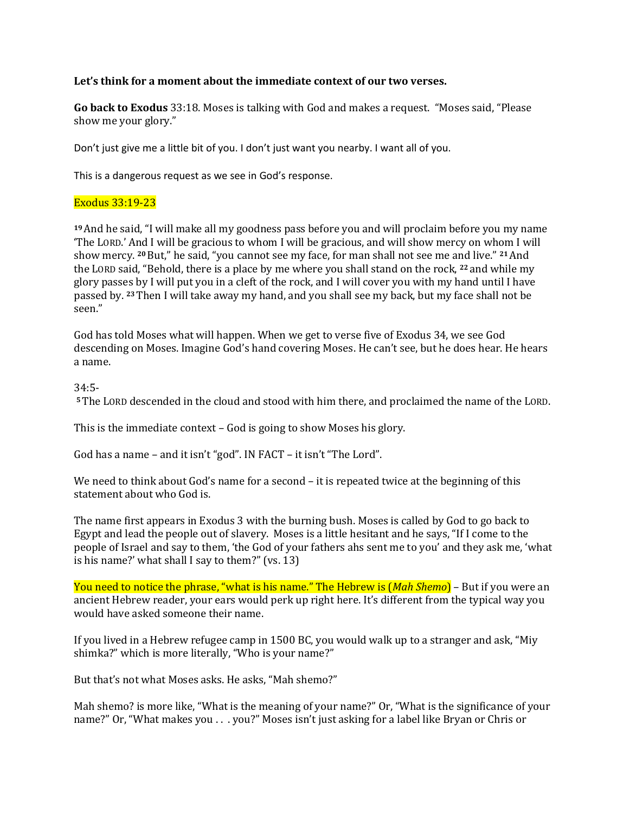### **Let's think for a moment about the immediate context of our two verses.**

**Go back to Exodus** 33:18. Moses is talking with God and makes a request. "Moses said, "Please show me your glory."

Don't just give me a little bit of you. I don't just want you nearby. I want all of you.

This is a dangerous request as we see in God's response.

#### Exodus 33:19-23

**<sup>19</sup>**And he said, "I will make all my goodness pass before you and will proclaim before you my name 'The LORD.' And I will be gracious to whom I will be gracious, and will show mercy on whom I will show mercy. **<sup>20</sup>**But," he said, "you cannot see my face, for man shall not see me and live." **<sup>21</sup>**And the LORD said, "Behold, there is a place by me where you shall stand on the rock, **<sup>22</sup>** and while my glory passes by I will put you in a cleft of the rock, and I will cover you with my hand until I have passed by. **<sup>23</sup>**Then I will take away my hand, and you shall see my back, but my face shall not be seen."

God has told Moses what will happen. When we get to verse five of Exodus 34, we see God descending on Moses. Imagine God's hand covering Moses. He can't see, but he does hear. He hears a name.

### 34:5-

**<sup>5</sup>**The LORD descended in the cloud and stood with him there, and proclaimed the name of the LORD.

This is the immediate context – God is going to show Moses his glory.

God has a name – and it isn't "god". IN FACT – it isn't "The Lord".

We need to think about God's name for a second – it is repeated twice at the beginning of this statement about who God is.

The name first appears in Exodus 3 with the burning bush. Moses is called by God to go back to Egypt and lead the people out of slavery. Moses is a little hesitant and he says, "If I come to the people of Israel and say to them, 'the God of your fathers ahs sent me to you' and they ask me, 'what is his name?' what shall I say to them?" (vs. 13)

You need to notice the phrase, "what is his name." The Hebrew is (*Mah Shemo*) – But if you were an ancient Hebrew reader, your ears would perk up right here. It's different from the typical way you would have asked someone their name.

If you lived in a Hebrew refugee camp in 1500 BC, you would walk up to a stranger and ask, "Miy shimka?" which is more literally, "Who is your name?"

But that's not what Moses asks. He asks, "Mah shemo?"

Mah shemo? is more like, "What is the meaning of your name?" Or, "What is the significance of your name?" Or, "What makes you . . . you?" Moses isn't just asking for a label like Bryan or Chris or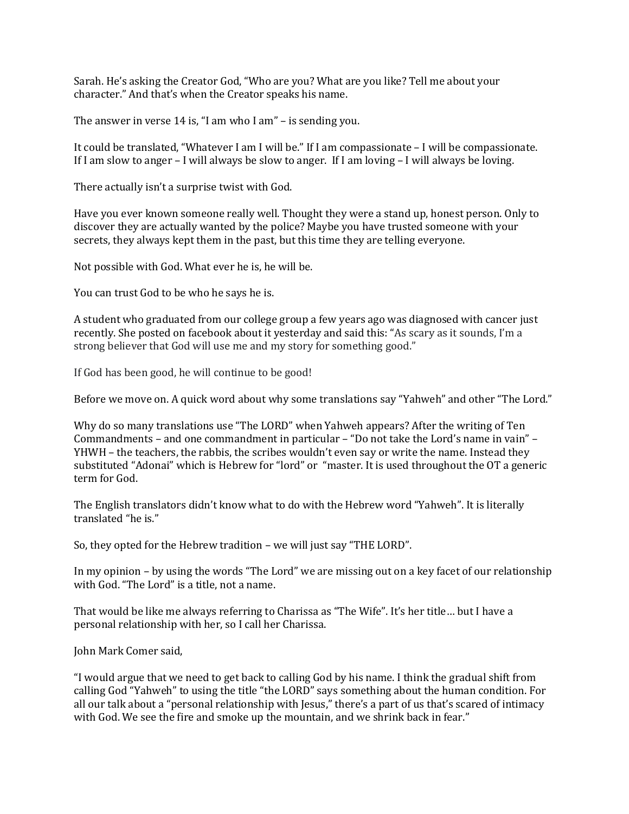Sarah. He's asking the Creator God, "Who are you? What are you like? Tell me about your character." And that's when the Creator speaks his name.

The answer in verse 14 is, "I am who I am" – is sending you.

It could be translated, "Whatever I am I will be." If I am compassionate – I will be compassionate. If I am slow to anger – I will always be slow to anger. If I am loving – I will always be loving.

There actually isn't a surprise twist with God.

Have you ever known someone really well. Thought they were a stand up, honest person. Only to discover they are actually wanted by the police? Maybe you have trusted someone with your secrets, they always kept them in the past, but this time they are telling everyone.

Not possible with God. What ever he is, he will be.

You can trust God to be who he says he is.

A student who graduated from our college group a few years ago was diagnosed with cancer just recently. She posted on facebook about it yesterday and said this: "As scary as it sounds, I'm a strong believer that God will use me and my story for something good."

If God has been good, he will continue to be good!

Before we move on. A quick word about why some translations say "Yahweh" and other "The Lord."

Why do so many translations use "The LORD" when Yahweh appears? After the writing of Ten Commandments – and one commandment in particular – "Do not take the Lord's name in vain" – YHWH – the teachers, the rabbis, the scribes wouldn't even say or write the name. Instead they substituted "Adonai" which is Hebrew for "lord" or "master. It is used throughout the OT a generic term for God.

The English translators didn't know what to do with the Hebrew word "Yahweh". It is literally translated "he is."

So, they opted for the Hebrew tradition – we will just say "THE LORD".

In my opinion – by using the words "The Lord" we are missing out on a key facet of our relationship with God. "The Lord" is a title, not a name.

That would be like me always referring to Charissa as "The Wife". It's her title… but I have a personal relationship with her, so I call her Charissa.

John Mark Comer said,

"I would argue that we need to get back to calling God by his name. I think the gradual shift from calling God "Yahweh" to using the title "the LORD" says something about the human condition. For all our talk about a "personal relationship with Jesus," there's a part of us that's scared of intimacy with God. We see the fire and smoke up the mountain, and we shrink back in fear."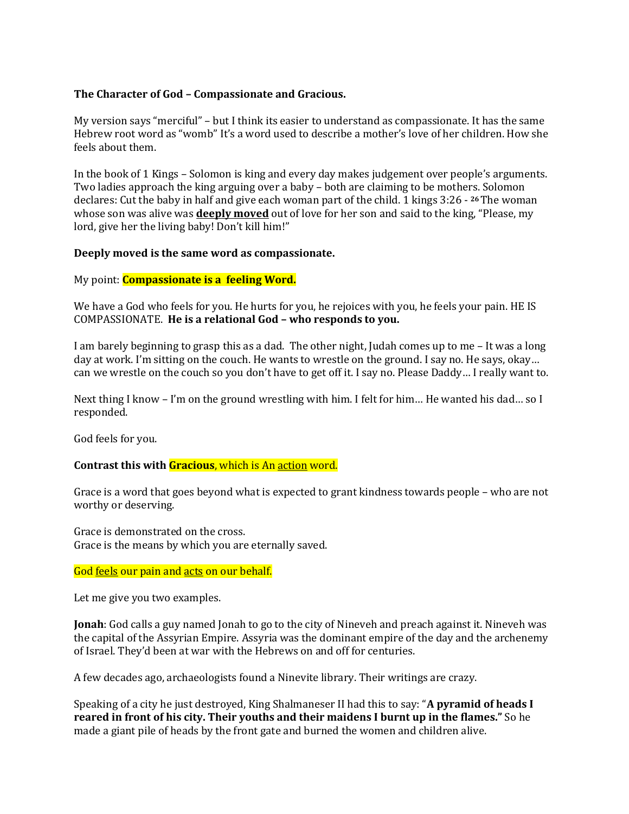## **The Character of God – Compassionate and Gracious.**

My version says "merciful" – but I think its easier to understand as compassionate. It has the same Hebrew root word as "womb" It's a word used to describe a mother's love of her children. How she feels about them.

In the book of 1 Kings – Solomon is king and every day makes judgement over people's arguments. Two ladies approach the king arguing over a baby – both are claiming to be mothers. Solomon declares: Cut the baby in half and give each woman part of the child. 1 kings 3:26 - **<sup>26</sup>**The woman whose son was alive was **deeply moved** out of love for her son and said to the king, "Please, my lord, give her the living baby! Don't kill him!"

### **Deeply moved is the same word as compassionate.**

My point: **Compassionate is a feeling Word.**

We have a God who feels for you. He hurts for you, he rejoices with you, he feels your pain. HE IS COMPASSIONATE. **He is a relational God – who responds to you.** 

I am barely beginning to grasp this as a dad. The other night, Judah comes up to me – It was a long day at work. I'm sitting on the couch. He wants to wrestle on the ground. I say no. He says, okay… can we wrestle on the couch so you don't have to get off it. I say no. Please Daddy… I really want to.

Next thing I know – I'm on the ground wrestling with him. I felt for him... He wanted his dad... so I responded.

God feels for you.

### **Contrast this with Gracious**, which is An action word.

Grace is a word that goes beyond what is expected to grant kindness towards people – who are not worthy or deserving.

Grace is demonstrated on the cross. Grace is the means by which you are eternally saved.

God feels our pain and acts on our behalf.

Let me give you two examples.

**Jonah**: God calls a guy named Jonah to go to the city of Nineveh and preach against it. Nineveh was the capital of the Assyrian Empire. Assyria was the dominant empire of the day and the archenemy of Israel. They'd been at war with the Hebrews on and off for centuries.

A few decades ago, archaeologists found a Ninevite library. Their writings are crazy.

Speaking of a city he just destroyed, King Shalmaneser II had this to say: "**A pyramid of heads I reared in front of his city. Their youths and their maidens I burnt up in the flames."** So he made a giant pile of heads by the front gate and burned the women and children alive.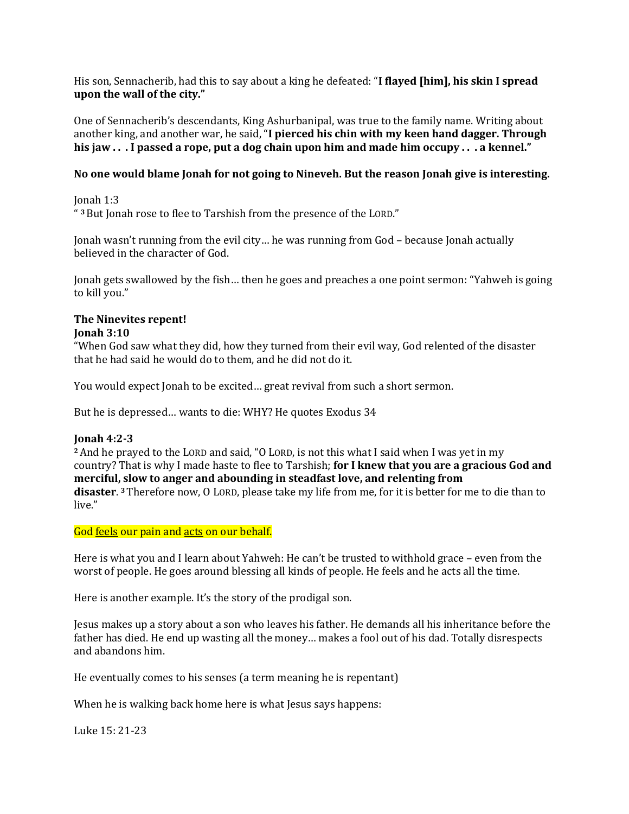His son, Sennacherib, had this to say about a king he defeated: "**I flayed [him], his skin I spread upon the wall of the city."**

One of Sennacherib's descendants, King Ashurbanipal, was true to the family name. Writing about another king, and another war, he said, "**I pierced his chin with my keen hand dagger. Through his jaw . . . I passed a rope, put a dog chain upon him and made him occupy . . . a kennel."**

## **No one would blame Jonah for not going to Nineveh. But the reason Jonah give is interesting.**

Jonah 1:3 " **<sup>3</sup>**But Jonah rose to flee to Tarshish from the presence of the LORD."

Jonah wasn't running from the evil city… he was running from God – because Jonah actually believed in the character of God.

Jonah gets swallowed by the fish… then he goes and preaches a one point sermon: "Yahweh is going to kill you."

### **The Ninevites repent! Jonah 3:10**

"When God saw what they did, how they turned from their evil way, God relented of the disaster that he had said he would do to them, and he did not do it.

You would expect Jonah to be excited… great revival from such a short sermon.

But he is depressed… wants to die: WHY? He quotes Exodus 34

# **Jonah 4:2-3**

**<sup>2</sup>**And he prayed to the LORD and said, "O LORD, is not this what I said when I was yet in my country? That is why I made haste to flee to Tarshish; **for I knew that you are a gracious God and merciful, slow to anger and abounding in steadfast love, and relenting from disaster**. **<sup>3</sup>**Therefore now, O LORD, please take my life from me, for it is better for me to die than to live."

God feels our pain and acts on our behalf.

Here is what you and I learn about Yahweh: He can't be trusted to withhold grace – even from the worst of people. He goes around blessing all kinds of people. He feels and he acts all the time.

Here is another example. It's the story of the prodigal son.

Jesus makes up a story about a son who leaves his father. He demands all his inheritance before the father has died. He end up wasting all the money… makes a fool out of his dad. Totally disrespects and abandons him.

He eventually comes to his senses (a term meaning he is repentant)

When he is walking back home here is what Jesus says happens:

Luke 15: 21-23